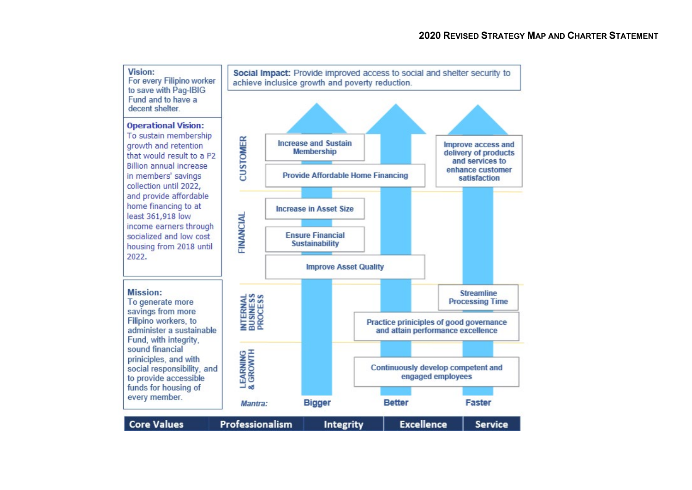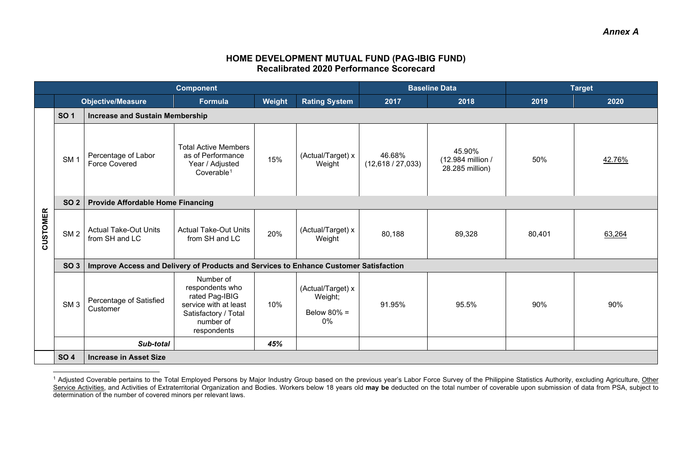## <span id="page-1-0"></span>**HOME DEVELOPMENT MUTUAL FUND (PAG-IBIG FUND) Recalibrated 2020 Performance Scorecard**

|                 | <b>Component</b> |                                                                                       |                                                                                                                             | <b>Baseline Data</b> |                                                      | <b>Target</b>             |                                                |        |        |  |  |
|-----------------|------------------|---------------------------------------------------------------------------------------|-----------------------------------------------------------------------------------------------------------------------------|----------------------|------------------------------------------------------|---------------------------|------------------------------------------------|--------|--------|--|--|
|                 |                  | <b>Objective/Measure</b>                                                              | <b>Formula</b>                                                                                                              | Weight               | <b>Rating System</b>                                 | 2017                      | 2018                                           | 2019   | 2020   |  |  |
|                 | <b>SO1</b>       | <b>Increase and Sustain Membership</b>                                                |                                                                                                                             |                      |                                                      |                           |                                                |        |        |  |  |
|                 | SM <sub>1</sub>  | Percentage of Labor<br><b>Force Covered</b>                                           | <b>Total Active Members</b><br>as of Performance<br>Year / Adjusted<br>Coverable <sup>1</sup>                               | 15%                  | (Actual/Target) x<br>Weight                          | 46.68%<br>(12,618/27,033) | 45.90%<br>(12.984 million /<br>28.285 million) | 50%    | 42.76% |  |  |
|                 | <b>SO 2</b>      | <b>Provide Affordable Home Financing</b>                                              |                                                                                                                             |                      |                                                      |                           |                                                |        |        |  |  |
| <b>CUSTOMER</b> | SM <sub>2</sub>  | <b>Actual Take-Out Units</b><br>from SH and LC                                        | <b>Actual Take-Out Units</b><br>from SH and LC                                                                              | 20%                  | (Actual/Target) x<br>Weight                          | 80,188                    | 89,328                                         | 80,401 | 63,264 |  |  |
|                 | SO <sub>3</sub>  | Improve Access and Delivery of Products and Services to Enhance Customer Satisfaction |                                                                                                                             |                      |                                                      |                           |                                                |        |        |  |  |
|                 | SM <sub>3</sub>  | Percentage of Satisfied<br>Customer                                                   | Number of<br>respondents who<br>rated Pag-IBIG<br>service with at least<br>Satisfactory / Total<br>number of<br>respondents | 10%                  | (Actual/Target) x<br>Weight;<br>Below $80\%$ =<br>0% | 91.95%                    | 95.5%                                          | 90%    | 90%    |  |  |
|                 |                  | Sub-total                                                                             |                                                                                                                             | 45%                  |                                                      |                           |                                                |        |        |  |  |
|                 | <b>SO 4</b>      | <b>Increase in Asset Size</b>                                                         |                                                                                                                             |                      |                                                      |                           |                                                |        |        |  |  |

<sup>&</sup>lt;sup>1</sup> Adjusted Coverable pertains to the Total Employed Persons by Major Industry Group based on the previous year's Labor Force Survey of the Philippine Statistics Authority, excluding Agriculture, <u>Other</u> Service Activities, and Activities of Extraterritorial Organization and Bodies. Workers below 18 years old **may be** deducted on the total number of coverable upon submission of data from PSA, subject to determination of the number of covered minors per relevant laws.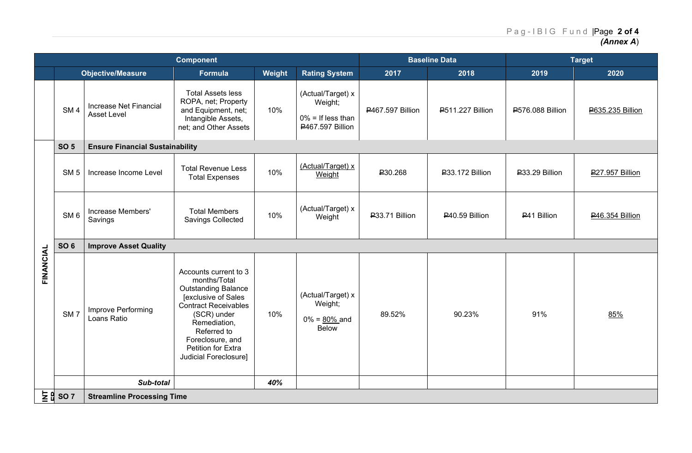*(Annex A*)

| <b>Component</b> |                                              |                                              |                                                                                                                                                                                                                                            |        | <b>Baseline Data</b>                                                     |                         | <b>Target</b>           |                  |                         |  |
|------------------|----------------------------------------------|----------------------------------------------|--------------------------------------------------------------------------------------------------------------------------------------------------------------------------------------------------------------------------------------------|--------|--------------------------------------------------------------------------|-------------------------|-------------------------|------------------|-------------------------|--|
|                  |                                              | <b>Objective/Measure</b>                     | Formula                                                                                                                                                                                                                                    | Weight | <b>Rating System</b>                                                     | 2017                    | 2018                    | 2019             | 2020                    |  |
|                  | SM <sub>4</sub>                              | Increase Net Financial<br><b>Asset Level</b> | <b>Total Assets less</b><br>ROPA, net; Property<br>and Equipment, net;<br>Intangible Assets,<br>net; and Other Assets                                                                                                                      | 10%    | (Actual/Target) x<br>Weight;<br>$0\%$ = If less than<br>P467.597 Billion | <b>P467.597 Billion</b> | <b>P511.227 Billion</b> | ₽576.088 Billion | <b>P635.235 Billion</b> |  |
|                  | <b>SO 5</b>                                  | <b>Ensure Financial Sustainability</b>       |                                                                                                                                                                                                                                            |        |                                                                          |                         |                         |                  |                         |  |
|                  | SM <sub>5</sub>                              | Increase Income Level                        | <b>Total Revenue Less</b><br><b>Total Expenses</b>                                                                                                                                                                                         | 10%    | (Actual/Target) x<br>Weight                                              | P30.268                 | P33.172 Billion         | P33.29 Billion   | <b>P27.957 Billion</b>  |  |
|                  | SM <sub>6</sub>                              | Increase Members'<br>Savings                 | <b>Total Members</b><br>Savings Collected                                                                                                                                                                                                  | 10%    | (Actual/Target) x<br>Weight                                              | P33.71 Billion          | P40.59 Billion          | P41 Billion      | P46.354 Billion         |  |
|                  | <b>SO 6</b>                                  | <b>Improve Asset Quality</b>                 |                                                                                                                                                                                                                                            |        |                                                                          |                         |                         |                  |                         |  |
| FINANCIAL        | SM <sub>7</sub>                              | Improve Performing<br>Loans Ratio            | Accounts current to 3<br>months/Total<br><b>Outstanding Balance</b><br>[exclusive of Sales<br><b>Contract Receivables</b><br>(SCR) under<br>Remediation,<br>Referred to<br>Foreclosure, and<br>Petition for Extra<br>Judicial Foreclosure] | 10%    | (Actual/Target) x<br>Weight;<br>$0\% = 80\%$ and<br><b>Below</b>         | 89.52%                  | 90.23%                  | 91%              | 85%                     |  |
|                  |                                              | Sub-total                                    |                                                                                                                                                                                                                                            | 40%    |                                                                          |                         |                         |                  |                         |  |
|                  | $\frac{1}{2}$ $\frac{1}{2}$ so $\frac{1}{2}$ | <b>Streamline Processing Time</b>            |                                                                                                                                                                                                                                            |        |                                                                          |                         |                         |                  |                         |  |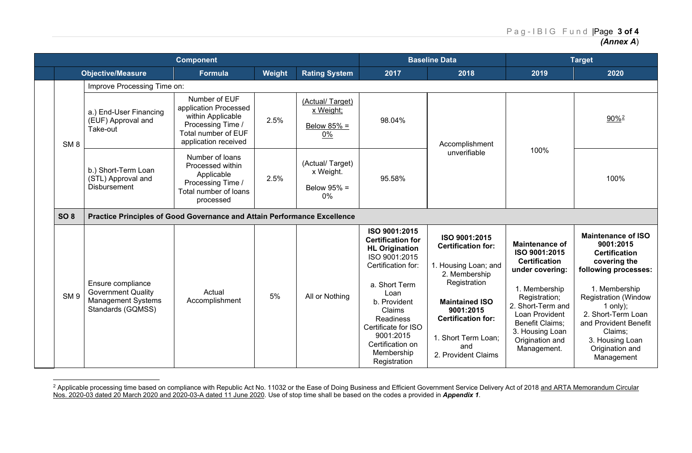<span id="page-3-0"></span>

|                 | <b>Component</b>                                                                                 |                                                                                                                                 |        |                                                      | <b>Baseline Data</b>                                                                                                                                                                                                                                            |                                                                                                                                                                                                                             | <b>Target</b>                                                                                                                                                                                                                      |                                                                                                                                                                                                                                                                                  |
|-----------------|--------------------------------------------------------------------------------------------------|---------------------------------------------------------------------------------------------------------------------------------|--------|------------------------------------------------------|-----------------------------------------------------------------------------------------------------------------------------------------------------------------------------------------------------------------------------------------------------------------|-----------------------------------------------------------------------------------------------------------------------------------------------------------------------------------------------------------------------------|------------------------------------------------------------------------------------------------------------------------------------------------------------------------------------------------------------------------------------|----------------------------------------------------------------------------------------------------------------------------------------------------------------------------------------------------------------------------------------------------------------------------------|
|                 | <b>Objective/Measure</b>                                                                         | <b>Formula</b>                                                                                                                  | Weight | <b>Rating System</b>                                 | 2017                                                                                                                                                                                                                                                            | 2018                                                                                                                                                                                                                        | 2019                                                                                                                                                                                                                               | 2020                                                                                                                                                                                                                                                                             |
|                 | Improve Processing Time on:                                                                      |                                                                                                                                 |        |                                                      |                                                                                                                                                                                                                                                                 |                                                                                                                                                                                                                             |                                                                                                                                                                                                                                    |                                                                                                                                                                                                                                                                                  |
| SM <sub>8</sub> | a.) End-User Financing<br>(EUF) Approval and<br>Take-out                                         | Number of EUF<br>application Processed<br>within Applicable<br>Processing Time /<br>Total number of EUF<br>application received | 2.5%   | (Actual/Target)<br>x Weight;<br>Below $85%$ =<br>0%  | 98.04%                                                                                                                                                                                                                                                          | Accomplishment                                                                                                                                                                                                              |                                                                                                                                                                                                                                    | 90% <sup>2</sup>                                                                                                                                                                                                                                                                 |
|                 | b.) Short-Term Loan<br>(STL) Approval and<br><b>Disbursement</b>                                 | Number of loans<br>Processed within<br>Applicable<br>Processing Time /<br>Total number of loans<br>processed                    | 2.5%   | (Actual/Target)<br>x Weight.<br>Below 95% =<br>$0\%$ | 95.58%                                                                                                                                                                                                                                                          | unverifiable                                                                                                                                                                                                                | 100%                                                                                                                                                                                                                               | 100%                                                                                                                                                                                                                                                                             |
| <b>SO 8</b>     | Practice Principles of Good Governance and Attain Performance Excellence                         |                                                                                                                                 |        |                                                      |                                                                                                                                                                                                                                                                 |                                                                                                                                                                                                                             |                                                                                                                                                                                                                                    |                                                                                                                                                                                                                                                                                  |
| SM <sub>9</sub> | Ensure compliance<br><b>Government Quality</b><br><b>Management Systems</b><br>Standards (GQMSS) | Actual<br>Accomplishment                                                                                                        | 5%     | All or Nothing                                       | ISO 9001:2015<br><b>Certification for</b><br><b>HL Origination</b><br>ISO 9001:2015<br>Certification for:<br>a. Short Term<br>Loan<br>b. Provident<br>Claims<br>Readiness<br>Certificate for ISO<br>9001:2015<br>Certification on<br>Membership<br>Registration | ISO 9001:2015<br><b>Certification for:</b><br>1. Housing Loan; and<br>2. Membership<br>Registration<br><b>Maintained ISO</b><br>9001:2015<br><b>Certification for:</b><br>1. Short Term Loan;<br>and<br>2. Provident Claims | <b>Maintenance of</b><br>ISO 9001:2015<br><b>Certification</b><br>under covering:<br>1. Membership<br>Registration;<br>2. Short-Term and<br>Loan Provident<br>Benefit Claims;<br>3. Housing Loan<br>Origination and<br>Management. | <b>Maintenance of ISO</b><br>9001:2015<br><b>Certification</b><br>covering the<br>following processes:<br>1. Membership<br><b>Registration (Window</b><br>1 only);<br>2. Short-Term Loan<br>and Provident Benefit<br>Claims;<br>3. Housing Loan<br>Origination and<br>Management |

<sup>&</sup>lt;sup>2</sup> Applicable processing time based on compliance with Republic Act No. 11032 or the Ease of Doing Business and Efficient Government Service Delivery Act of 2018 <u>and ARTA Memorandum Circular</u> Nos. 2020-03 dated 20 March 2020 and 2020-03-A dated 11 June 2020. Use of stop time shall be based on the codes a provided in *Appendix 1*.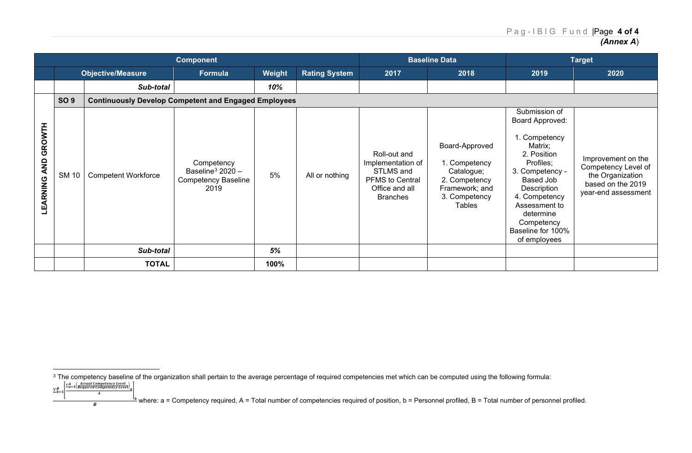<span id="page-4-0"></span>

|                              | <b>Component</b> |                                                             |                                                                                    |          |                      | <b>Baseline Data</b>                                                                                          |                                                                                                                    | <b>Target</b>                                                                                                                                                                                                                             |                                                                                                           |
|------------------------------|------------------|-------------------------------------------------------------|------------------------------------------------------------------------------------|----------|----------------------|---------------------------------------------------------------------------------------------------------------|--------------------------------------------------------------------------------------------------------------------|-------------------------------------------------------------------------------------------------------------------------------------------------------------------------------------------------------------------------------------------|-----------------------------------------------------------------------------------------------------------|
|                              |                  | <b>Objective/Measure</b>                                    | Formula                                                                            | Weight   | <b>Rating System</b> | 2017                                                                                                          | 2018                                                                                                               | 2019                                                                                                                                                                                                                                      | 2020                                                                                                      |
|                              |                  | Sub-total                                                   |                                                                                    | 10%      |                      |                                                                                                               |                                                                                                                    |                                                                                                                                                                                                                                           |                                                                                                           |
|                              | <b>SO 9</b>      | <b>Continuously Develop Competent and Engaged Employees</b> |                                                                                    |          |                      |                                                                                                               |                                                                                                                    |                                                                                                                                                                                                                                           |                                                                                                           |
| GROWTH<br>AND<br>ARNING<br>팤 | <b>SM 10</b>     | <b>Competent Workforce</b><br>Sub-total                     | Competency<br>Baseline <sup>3</sup> 2020 $-$<br><b>Competency Baseline</b><br>2019 | 5%<br>5% | All or nothing       | Roll-out and<br>Implementation of<br>STLMS and<br><b>PFMS to Central</b><br>Office and all<br><b>Branches</b> | Board-Approved<br>1. Competency<br>Catalogue;<br>2. Competency<br>Framework; and<br>3. Competency<br><b>Tables</b> | Submission of<br>Board Approved:<br>1. Competency<br>Matrix;<br>2. Position<br>Profiles;<br>3. Competency -<br>Based Job<br>Description<br>4. Competency<br>Assessment to<br>determine<br>Competency<br>Baseline for 100%<br>of employees | Improvement on the<br>Competency Level of<br>the Organization<br>based on the 2019<br>year-end assessment |
|                              |                  |                                                             |                                                                                    |          |                      |                                                                                                               |                                                                                                                    |                                                                                                                                                                                                                                           |                                                                                                           |
|                              |                  | <b>TOTAL</b>                                                |                                                                                    | 100%     |                      |                                                                                                               |                                                                                                                    |                                                                                                                                                                                                                                           |                                                                                                           |

 $\sum_{b=1}^{B} \frac{\sum_{a=1}^{A} \left(\frac{Actual \text{ } Competency \text{ } Level}{Required \text{ } Competency \text{ } Level}\right)_{a}}{A}$ 

 $\sum_{b=1}^{n}$ 

where: a = Competency required, A = Total number of competencies required of position, b = Personnel profiled, B = Total number of personnel profiled.<br>B

 $^3$  The competency baseline of the organization shall pertain to the average percentage of required competencies met which can be computed using the following formula: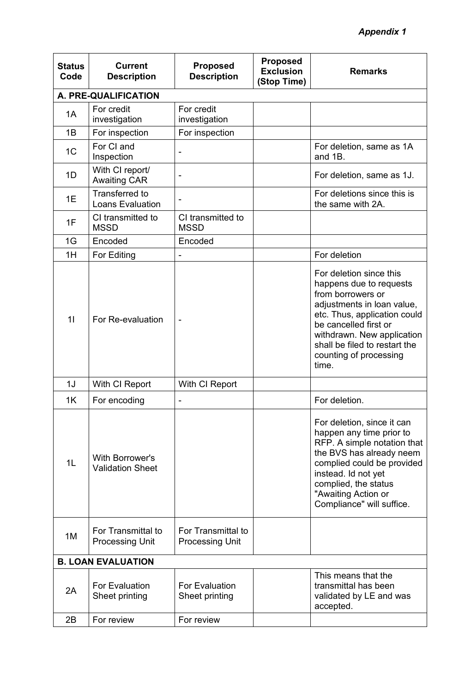## *Appendix 1*

| <b>Status</b><br>Code | <b>Current</b><br><b>Description</b>             | <b>Proposed</b><br><b>Description</b>        | <b>Proposed</b><br><b>Exclusion</b><br>(Stop Time) | <b>Remarks</b>                                                                                                                                                                                                                                                   |
|-----------------------|--------------------------------------------------|----------------------------------------------|----------------------------------------------------|------------------------------------------------------------------------------------------------------------------------------------------------------------------------------------------------------------------------------------------------------------------|
|                       | A. PRE-QUALIFICATION                             |                                              |                                                    |                                                                                                                                                                                                                                                                  |
| 1A                    | For credit<br>investigation                      | For credit<br>investigation                  |                                                    |                                                                                                                                                                                                                                                                  |
| 1B                    | For inspection                                   | For inspection                               |                                                    |                                                                                                                                                                                                                                                                  |
| 1 <sup>C</sup>        | For CI and<br>Inspection                         | -                                            |                                                    | For deletion, same as 1A<br>and 1B.                                                                                                                                                                                                                              |
| 1D                    | With CI report/<br><b>Awaiting CAR</b>           |                                              |                                                    | For deletion, same as 1J.                                                                                                                                                                                                                                        |
| 1E                    | <b>Transferred to</b><br><b>Loans Evaluation</b> |                                              |                                                    | For deletions since this is<br>the same with 2A.                                                                                                                                                                                                                 |
| 1F                    | CI transmitted to<br><b>MSSD</b>                 | CI transmitted to<br><b>MSSD</b>             |                                                    |                                                                                                                                                                                                                                                                  |
| 1G                    | Encoded                                          | Encoded                                      |                                                    |                                                                                                                                                                                                                                                                  |
| 1H                    | For Editing                                      |                                              |                                                    | For deletion                                                                                                                                                                                                                                                     |
| 11                    | For Re-evaluation                                | -                                            |                                                    | For deletion since this<br>happens due to requests<br>from borrowers or<br>adjustments in loan value,<br>etc. Thus, application could<br>be cancelled first or<br>withdrawn. New application<br>shall be filed to restart the<br>counting of processing<br>time. |
| 1J                    | With CI Report                                   | With CI Report                               |                                                    |                                                                                                                                                                                                                                                                  |
| 1K                    | For encoding                                     | -                                            |                                                    | For deletion.                                                                                                                                                                                                                                                    |
| 1 <sub>L</sub>        | With Borrower's<br><b>Validation Sheet</b>       |                                              |                                                    | For deletion, since it can<br>happen any time prior to<br>RFP. A simple notation that<br>the BVS has already neem<br>complied could be provided<br>instead. Id not yet<br>complied, the status<br>"Awaiting Action or<br>Compliance" will suffice.               |
| 1M                    | For Transmittal to<br><b>Processing Unit</b>     | For Transmittal to<br><b>Processing Unit</b> |                                                    |                                                                                                                                                                                                                                                                  |
|                       | <b>B. LOAN EVALUATION</b>                        |                                              |                                                    |                                                                                                                                                                                                                                                                  |
| 2A                    | <b>For Evaluation</b><br>Sheet printing          | <b>For Evaluation</b><br>Sheet printing      |                                                    | This means that the<br>transmittal has been<br>validated by LE and was<br>accepted.                                                                                                                                                                              |
| 2B                    | For review                                       | For review                                   |                                                    |                                                                                                                                                                                                                                                                  |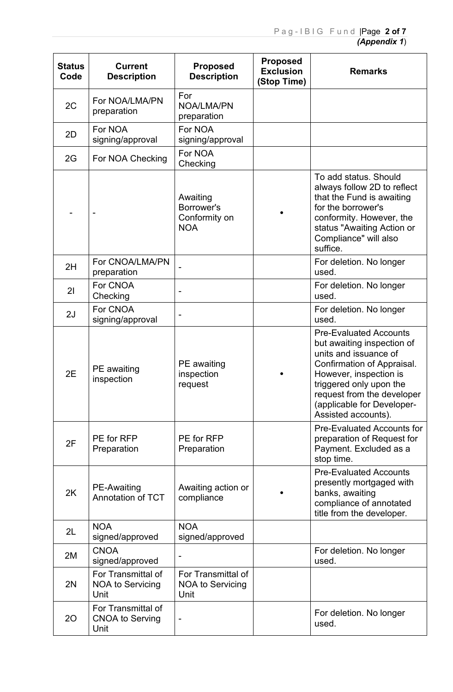| <b>Status</b><br>Code | <b>Current</b><br><b>Description</b>                  | <b>Proposed</b><br><b>Description</b>                 | <b>Proposed</b><br><b>Exclusion</b><br>(Stop Time) | <b>Remarks</b>                                                                                                                                                                                                                                             |
|-----------------------|-------------------------------------------------------|-------------------------------------------------------|----------------------------------------------------|------------------------------------------------------------------------------------------------------------------------------------------------------------------------------------------------------------------------------------------------------------|
| 2C                    | For NOA/LMA/PN<br>preparation                         | For<br>NOA/LMA/PN<br>preparation                      |                                                    |                                                                                                                                                                                                                                                            |
| 2D                    | For NOA<br>signing/approval                           | For NOA<br>signing/approval                           |                                                    |                                                                                                                                                                                                                                                            |
| 2G                    | For NOA Checking                                      | For NOA<br>Checking                                   |                                                    |                                                                                                                                                                                                                                                            |
|                       |                                                       | Awaiting<br>Borrower's<br>Conformity on<br><b>NOA</b> |                                                    | To add status. Should<br>always follow 2D to reflect<br>that the Fund is awaiting<br>for the borrower's<br>conformity. However, the<br>status "Awaiting Action or<br>Compliance" will also<br>suffice.                                                     |
| 2H                    | For CNOA/LMA/PN<br>preparation                        |                                                       |                                                    | For deletion. No longer<br>used.                                                                                                                                                                                                                           |
| 21                    | For CNOA<br>Checking                                  |                                                       |                                                    | For deletion. No longer<br>used.                                                                                                                                                                                                                           |
| 2J                    | For CNOA<br>signing/approval                          |                                                       |                                                    | For deletion. No longer<br>used.                                                                                                                                                                                                                           |
| 2E                    | PE awaiting<br>inspection                             | PE awaiting<br>inspection<br>request                  |                                                    | <b>Pre-Evaluated Accounts</b><br>but awaiting inspection of<br>units and issuance of<br>Confirmation of Appraisal.<br>However, inspection is<br>triggered only upon the<br>request from the developer<br>(applicable for Developer-<br>Assisted accounts). |
| 2F                    | PE for RFP<br>Preparation                             | PE for RFP<br>Preparation                             |                                                    | <b>Pre-Evaluated Accounts for</b><br>preparation of Request for<br>Payment. Excluded as a<br>stop time.                                                                                                                                                    |
| 2K                    | <b>PE-Awaiting</b><br><b>Annotation of TCT</b>        | Awaiting action or<br>compliance                      |                                                    | <b>Pre-Evaluated Accounts</b><br>presently mortgaged with<br>banks, awaiting<br>compliance of annotated<br>title from the developer.                                                                                                                       |
| 2L                    | <b>NOA</b><br>signed/approved                         | <b>NOA</b><br>signed/approved                         |                                                    |                                                                                                                                                                                                                                                            |
| 2M                    | <b>CNOA</b><br>signed/approved                        |                                                       |                                                    | For deletion. No longer<br>used.                                                                                                                                                                                                                           |
| 2N                    | For Transmittal of<br><b>NOA to Servicing</b><br>Unit | For Transmittal of<br><b>NOA to Servicing</b><br>Unit |                                                    |                                                                                                                                                                                                                                                            |
| 20                    | For Transmittal of<br><b>CNOA to Serving</b><br>Unit  |                                                       |                                                    | For deletion. No longer<br>used.                                                                                                                                                                                                                           |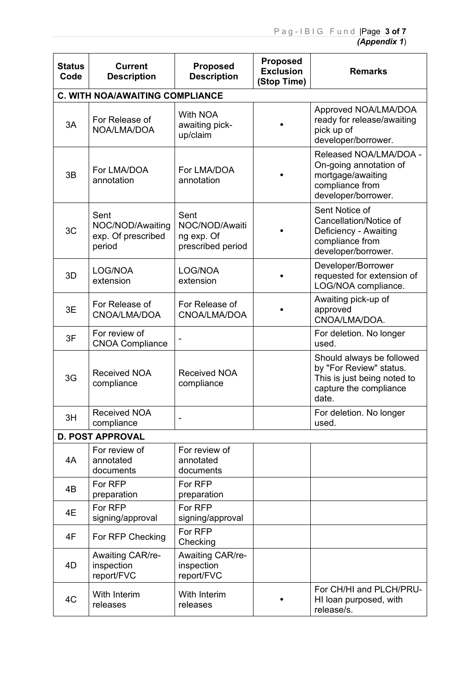| <b>Status</b><br>Code | <b>Current</b><br><b>Description</b>                     | <b>Proposed</b><br><b>Description</b>                     | <b>Proposed</b><br><b>Exclusion</b><br>(Stop Time) | <b>Remarks</b>                                                                                                         |  |  |  |  |  |  |
|-----------------------|----------------------------------------------------------|-----------------------------------------------------------|----------------------------------------------------|------------------------------------------------------------------------------------------------------------------------|--|--|--|--|--|--|
|                       | <b>C. WITH NOA/AWAITING COMPLIANCE</b>                   |                                                           |                                                    |                                                                                                                        |  |  |  |  |  |  |
| 3A                    | For Release of<br>NOA/LMA/DOA                            | <b>With NOA</b><br>awaiting pick-<br>up/claim             |                                                    | Approved NOA/LMA/DOA<br>ready for release/awaiting<br>pick up of<br>developer/borrower.                                |  |  |  |  |  |  |
| 3B                    | For LMA/DOA<br>annotation                                | For LMA/DOA<br>annotation                                 |                                                    | Released NOA/LMA/DOA -<br>On-going annotation of<br>mortgage/awaiting<br>compliance from<br>developer/borrower.        |  |  |  |  |  |  |
| 3C                    | Sent<br>NOC/NOD/Awaiting<br>exp. Of prescribed<br>period | Sent<br>NOC/NOD/Awaiti<br>ng exp. Of<br>prescribed period |                                                    | Sent Notice of<br>Cancellation/Notice of<br>Deficiency - Awaiting<br>compliance from<br>developer/borrower.            |  |  |  |  |  |  |
| 3D                    | LOG/NOA<br>extension                                     | LOG/NOA<br>extension                                      |                                                    | Developer/Borrower<br>requested for extension of<br>LOG/NOA compliance.                                                |  |  |  |  |  |  |
| 3E                    | For Release of<br>CNOA/LMA/DOA                           | For Release of<br>CNOA/LMA/DOA                            |                                                    | Awaiting pick-up of<br>approved<br>CNOA/LMA/DOA.                                                                       |  |  |  |  |  |  |
| 3F                    | For review of<br><b>CNOA Compliance</b>                  |                                                           |                                                    | For deletion. No longer<br>used.                                                                                       |  |  |  |  |  |  |
| 3G                    | <b>Received NOA</b><br>compliance                        | <b>Received NOA</b><br>compliance                         |                                                    | Should always be followed<br>by "For Review" status.<br>This is just being noted to<br>capture the compliance<br>date. |  |  |  |  |  |  |
| 3H                    | <b>Received NOA</b><br>compliance                        | $\overline{\phantom{0}}$                                  |                                                    | For deletion. No longer<br>used.                                                                                       |  |  |  |  |  |  |
|                       | <b>D. POST APPROVAL</b>                                  |                                                           |                                                    |                                                                                                                        |  |  |  |  |  |  |
| 4A                    | For review of<br>annotated<br>documents                  | For review of<br>annotated<br>documents                   |                                                    |                                                                                                                        |  |  |  |  |  |  |
| 4B                    | For RFP<br>preparation                                   | For RFP<br>preparation                                    |                                                    |                                                                                                                        |  |  |  |  |  |  |
| 4E                    | For RFP<br>signing/approval                              | For RFP<br>signing/approval                               |                                                    |                                                                                                                        |  |  |  |  |  |  |
| 4F                    | For RFP Checking                                         | For RFP<br>Checking                                       |                                                    |                                                                                                                        |  |  |  |  |  |  |
| 4D                    | Awaiting CAR/re-<br>inspection<br>report/FVC             | <b>Awaiting CAR/re-</b><br>inspection<br>report/FVC       |                                                    |                                                                                                                        |  |  |  |  |  |  |
| 4C                    | <b>With Interim</b><br>releases                          | <b>With Interim</b><br>releases                           |                                                    | For CH/HI and PLCH/PRU-<br>HI loan purposed, with<br>release/s.                                                        |  |  |  |  |  |  |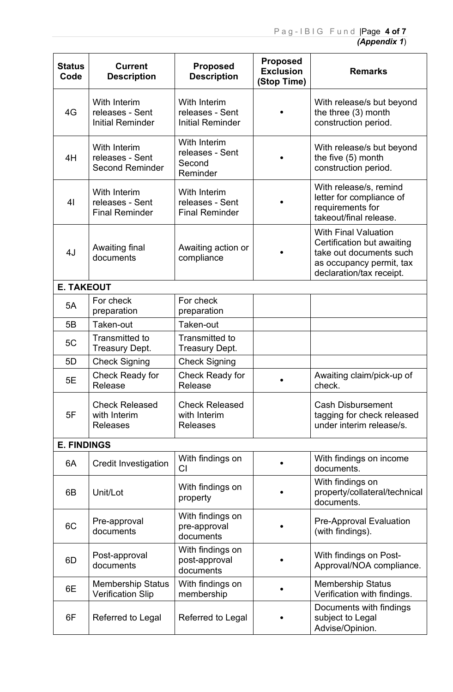| <b>Status</b><br>Code | <b>Current</b><br><b>Description</b>                       | <b>Proposed</b><br><b>Description</b>                      | <b>Proposed</b><br><b>Exclusion</b><br>(Stop Time) | <b>Remarks</b>                                                                                                                               |
|-----------------------|------------------------------------------------------------|------------------------------------------------------------|----------------------------------------------------|----------------------------------------------------------------------------------------------------------------------------------------------|
| 4G                    | With Interim<br>releases - Sent<br><b>Initial Reminder</b> | With Interim<br>releases - Sent<br><b>Initial Reminder</b> |                                                    | With release/s but beyond<br>the three (3) month<br>construction period.                                                                     |
| 4H                    | With Interim<br>releases - Sent<br><b>Second Reminder</b>  | With Interim<br>releases - Sent<br>Second<br>Reminder      |                                                    | With release/s but beyond<br>the five (5) month<br>construction period.                                                                      |
| 4 <sub>l</sub>        | With Interim<br>releases - Sent<br><b>Final Reminder</b>   | With Interim<br>releases - Sent<br><b>Final Reminder</b>   |                                                    | With release/s, remind<br>letter for compliance of<br>requirements for<br>takeout/final release.                                             |
| 4J                    | Awaiting final<br>documents                                | Awaiting action or<br>compliance                           |                                                    | <b>With Final Valuation</b><br>Certification but awaiting<br>take out documents such<br>as occupancy permit, tax<br>declaration/tax receipt. |
| <b>E. TAKEOUT</b>     |                                                            |                                                            |                                                    |                                                                                                                                              |
| 5A                    | For check<br>preparation                                   | For check<br>preparation                                   |                                                    |                                                                                                                                              |
| 5B                    | Taken-out                                                  | Taken-out                                                  |                                                    |                                                                                                                                              |
| 5C                    | Transmitted to<br><b>Treasury Dept.</b>                    | Transmitted to<br><b>Treasury Dept.</b>                    |                                                    |                                                                                                                                              |
| 5D                    | <b>Check Signing</b>                                       | <b>Check Signing</b>                                       |                                                    |                                                                                                                                              |
| 5E                    | Check Ready for<br>Release                                 | Check Ready for<br>Release                                 |                                                    | Awaiting claim/pick-up of<br>check.                                                                                                          |
| 5F                    | <b>Check Released</b><br>with Interim<br><b>Releases</b>   | <b>Check Released</b><br>with Interim<br><b>Releases</b>   |                                                    | <b>Cash Disbursement</b><br>tagging for check released<br>under interim release/s.                                                           |
| <b>E. FINDINGS</b>    |                                                            |                                                            |                                                    |                                                                                                                                              |
| 6A                    | <b>Credit Investigation</b>                                | With findings on<br>C <sub>l</sub>                         |                                                    | With findings on income<br>documents.                                                                                                        |
| 6B                    | Unit/Lot                                                   | With findings on<br>property                               |                                                    | With findings on<br>property/collateral/technical<br>documents.                                                                              |
| 6C                    | Pre-approval<br>documents                                  | With findings on<br>pre-approval<br>documents              |                                                    | <b>Pre-Approval Evaluation</b><br>(with findings).                                                                                           |
| 6D                    | Post-approval<br>documents                                 | With findings on<br>post-approval<br>documents             |                                                    | With findings on Post-<br>Approval/NOA compliance.                                                                                           |
| 6E                    | <b>Membership Status</b><br><b>Verification Slip</b>       | With findings on<br>membership                             |                                                    | <b>Membership Status</b><br>Verification with findings.                                                                                      |
| 6F                    | Referred to Legal                                          | Referred to Legal                                          |                                                    | Documents with findings<br>subject to Legal<br>Advise/Opinion.                                                                               |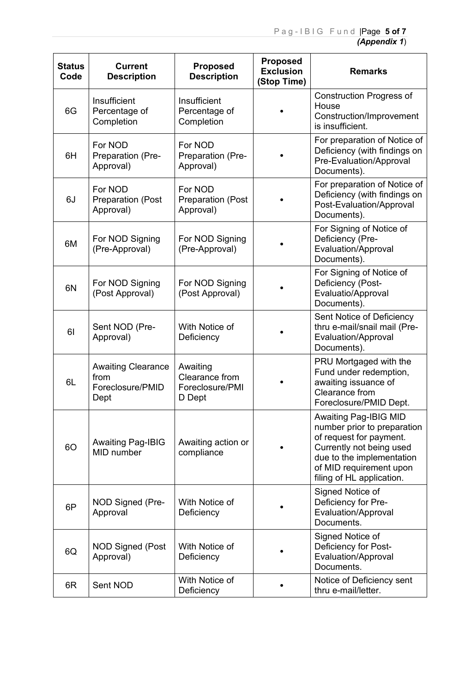| <b>Status</b><br>Code | <b>Current</b><br><b>Description</b>                          | <b>Proposed</b><br><b>Description</b>                   | <b>Proposed</b><br><b>Exclusion</b><br>(Stop Time) | <b>Remarks</b>                                                                                                                                                                                          |
|-----------------------|---------------------------------------------------------------|---------------------------------------------------------|----------------------------------------------------|---------------------------------------------------------------------------------------------------------------------------------------------------------------------------------------------------------|
| 6G                    | Insufficient<br>Percentage of<br>Completion                   | Insufficient<br>Percentage of<br>Completion             |                                                    | <b>Construction Progress of</b><br>House<br>Construction/Improvement<br>is insufficient.                                                                                                                |
| 6H                    | For NOD<br>Preparation (Pre-<br>Approval)                     | For NOD<br>Preparation (Pre-<br>Approval)               |                                                    | For preparation of Notice of<br>Deficiency (with findings on<br>Pre-Evaluation/Approval<br>Documents).                                                                                                  |
| 6J                    | For NOD<br><b>Preparation (Post</b><br>Approval)              | For NOD<br><b>Preparation (Post</b><br>Approval)        |                                                    | For preparation of Notice of<br>Deficiency (with findings on<br>Post-Evaluation/Approval<br>Documents).                                                                                                 |
| 6M                    | For NOD Signing<br>(Pre-Approval)                             | For NOD Signing<br>(Pre-Approval)                       |                                                    | For Signing of Notice of<br>Deficiency (Pre-<br>Evaluation/Approval<br>Documents).                                                                                                                      |
| 6N                    | For NOD Signing<br>(Post Approval)                            | For NOD Signing<br>(Post Approval)                      |                                                    | For Signing of Notice of<br>Deficiency (Post-<br>Evaluatio/Approval<br>Documents).                                                                                                                      |
| 61                    | Sent NOD (Pre-<br>Approval)                                   | With Notice of<br>Deficiency                            |                                                    | Sent Notice of Deficiency<br>thru e-mail/snail mail (Pre-<br>Evaluation/Approval<br>Documents).                                                                                                         |
| 6L                    | <b>Awaiting Clearance</b><br>from<br>Foreclosure/PMID<br>Dept | Awaiting<br>Clearance from<br>Foreclosure/PMI<br>D Dept |                                                    | PRU Mortgaged with the<br>Fund under redemption,<br>awaiting issuance of<br>Clearance from<br>Foreclosure/PMID Dept.                                                                                    |
| <b>6O</b>             | <b>Awaiting Pag-IBIG</b><br>MID number                        | Awaiting action or<br>compliance                        |                                                    | <b>Awaiting Pag-IBIG MID</b><br>number prior to preparation<br>of request for payment.<br>Currently not being used<br>due to the implementation<br>of MID requirement upon<br>filing of HL application. |
| 6P                    | NOD Signed (Pre-<br>Approval                                  | With Notice of<br>Deficiency                            |                                                    | Signed Notice of<br>Deficiency for Pre-<br>Evaluation/Approval<br>Documents.                                                                                                                            |
| 6Q                    | <b>NOD Signed (Post</b><br>Approval)                          | With Notice of<br>Deficiency                            |                                                    | Signed Notice of<br>Deficiency for Post-<br>Evaluation/Approval<br>Documents.                                                                                                                           |
| 6R                    | Sent NOD                                                      | With Notice of<br>Deficiency                            |                                                    | Notice of Deficiency sent<br>thru e-mail/letter.                                                                                                                                                        |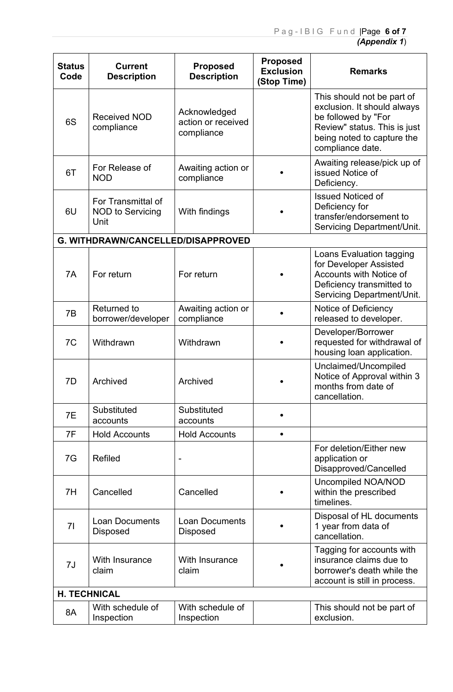| <b>Status</b><br>Code | <b>Current</b><br><b>Description</b>                  | <b>Proposed</b><br><b>Description</b>            | <b>Proposed</b><br><b>Exclusion</b><br>(Stop Time) | <b>Remarks</b>                                                                                                                                                     |
|-----------------------|-------------------------------------------------------|--------------------------------------------------|----------------------------------------------------|--------------------------------------------------------------------------------------------------------------------------------------------------------------------|
| 6S                    | <b>Received NOD</b><br>compliance                     | Acknowledged<br>action or received<br>compliance |                                                    | This should not be part of<br>exclusion. It should always<br>be followed by "For<br>Review" status. This is just<br>being noted to capture the<br>compliance date. |
| 6T                    | For Release of<br><b>NOD</b>                          | Awaiting action or<br>compliance                 |                                                    | Awaiting release/pick up of<br>issued Notice of<br>Deficiency.                                                                                                     |
| 6U                    | For Transmittal of<br><b>NOD to Servicing</b><br>Unit | With findings                                    |                                                    | <b>Issued Noticed of</b><br>Deficiency for<br>transfer/endorsement to<br>Servicing Department/Unit.                                                                |
|                       | G. WITHDRAWN/CANCELLED/DISAPPROVED                    |                                                  |                                                    |                                                                                                                                                                    |
| 7A                    | For return                                            | For return                                       |                                                    | Loans Evaluation tagging<br>for Developer Assisted<br>Accounts with Notice of<br>Deficiency transmitted to<br>Servicing Department/Unit.                           |
| 7B                    | <b>Returned to</b><br>borrower/developer              | Awaiting action or<br>compliance                 |                                                    | Notice of Deficiency<br>released to developer.                                                                                                                     |
| 7C                    | Withdrawn                                             | Withdrawn                                        |                                                    | Developer/Borrower<br>requested for withdrawal of<br>housing loan application.                                                                                     |
| 7D                    | Archived                                              | Archived                                         |                                                    | Unclaimed/Uncompiled<br>Notice of Approval within 3<br>months from date of<br>cancellation.                                                                        |
| 7E                    | Substituted<br>accounts                               | Substituted<br>accounts                          |                                                    |                                                                                                                                                                    |
| 7F                    | <b>Hold Accounts</b>                                  | <b>Hold Accounts</b>                             | $\bullet$                                          |                                                                                                                                                                    |
| 7G                    | Refiled                                               | $\overline{\phantom{a}}$                         |                                                    | For deletion/Either new<br>application or<br>Disapproved/Cancelled                                                                                                 |
| 7H                    | Cancelled                                             | Cancelled                                        |                                                    | Uncompiled NOA/NOD<br>within the prescribed<br>timelines.                                                                                                          |
| 71                    | <b>Loan Documents</b><br><b>Disposed</b>              | <b>Loan Documents</b><br><b>Disposed</b>         |                                                    | Disposal of HL documents<br>1 year from data of<br>cancellation.                                                                                                   |
| 7J                    | With Insurance<br>claim                               | With Insurance<br>claim                          |                                                    | Tagging for accounts with<br>insurance claims due to<br>borrower's death while the<br>account is still in process.                                                 |
|                       | <b>H. TECHNICAL</b>                                   |                                                  |                                                    |                                                                                                                                                                    |
| 8A                    | With schedule of<br>Inspection                        | With schedule of<br>Inspection                   |                                                    | This should not be part of<br>exclusion.                                                                                                                           |
|                       |                                                       |                                                  |                                                    |                                                                                                                                                                    |